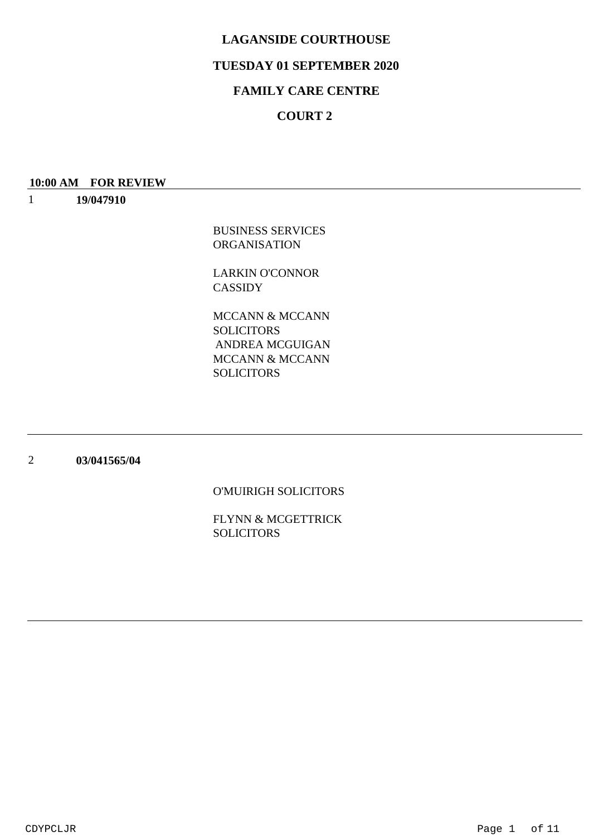## **TUESDAY 01 SEPTEMBER 2020**

## **FAMILY CARE CENTRE**

## **COURT 2**

#### **10:00 AM FOR REVIEW**

1 **19/047910**

> BUSINESS SERVICES ORGANISATION

LARKIN O'CONNOR CASSIDY

MCCANN & MCCANN SOLICITORS MCCANN & MCCANN **SOLICITORS** ANDREA MCGUIGAN

#### 2 **03/041565/04**

### O'MUIRIGH SOLICITORS

FLYNN & MCGETTRICK SOLICITORS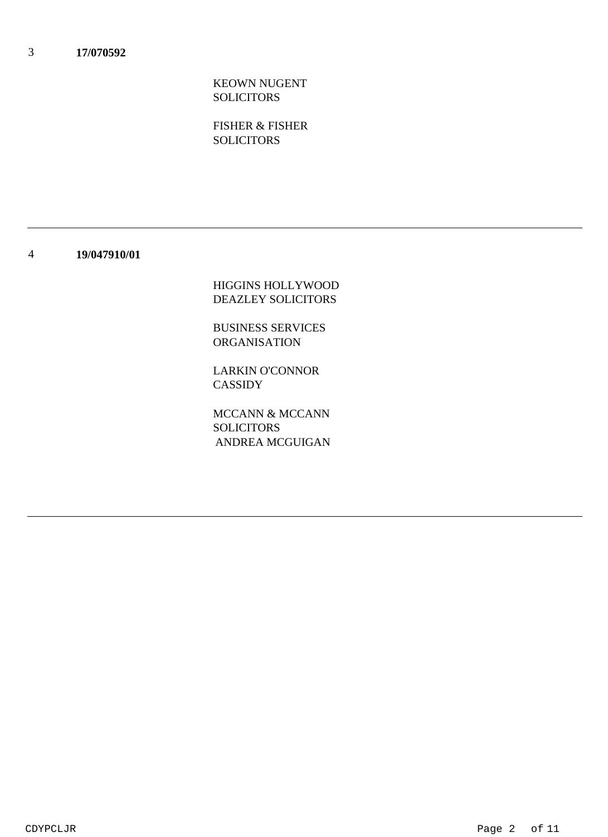KEOWN NUGENT **SOLICITORS** 

FISHER & FISHER **SOLICITORS** 

#### 4 **19/047910/01**

HIGGINS HOLLYWOOD DEAZLEY SOLICITORS

BUSINESS SERVICES ORGANISATION

LARKIN O'CONNOR CASSIDY

MCCANN & MCCANN SOLICITORS ANDREA MCGUIGAN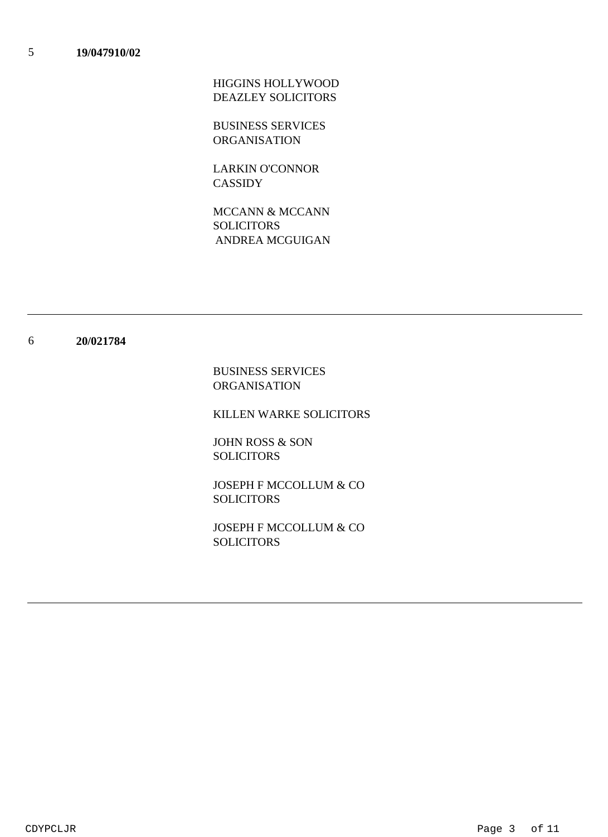HIGGINS HOLLYWOOD DEAZLEY SOLICITORS

BUSINESS SERVICES ORGANISATION

LARKIN O'CONNOR CASSIDY

MCCANN & MCCANN **SOLICITORS** ANDREA MCGUIGAN

#### 6 **20/021784**

BUSINESS SERVICES ORGANISATION

KILLEN WARKE SOLICITORS

JOHN ROSS & SON **SOLICITORS** 

JOSEPH F MCCOLLUM & CO SOLICITORS

JOSEPH F MCCOLLUM & CO SOLICITORS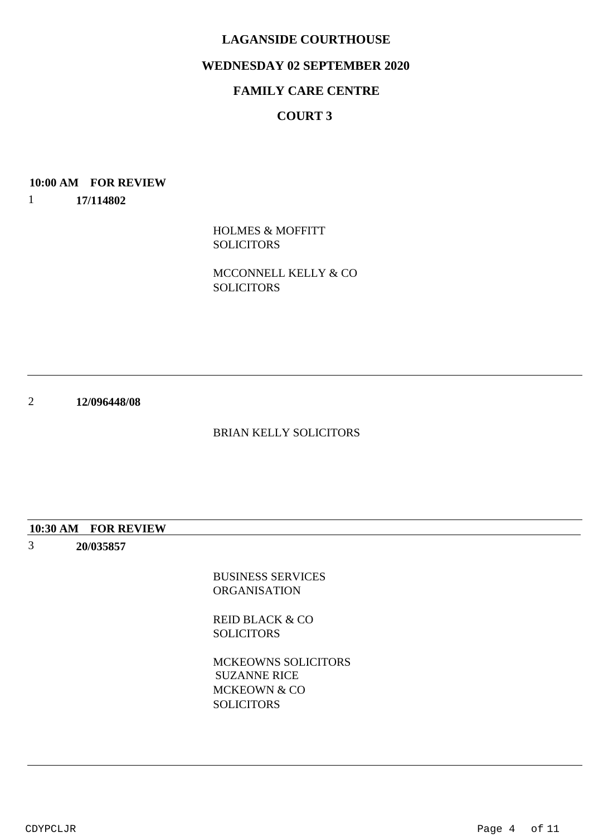### **WEDNESDAY 02 SEPTEMBER 2020**

## **FAMILY CARE CENTRE**

## **COURT 3**

# **10:00 AM FOR REVIEW**

1 **17/114802**

> HOLMES & MOFFITT **SOLICITORS**

MCCONNELL KELLY & CO SOLICITORS

2 **12/096448/08**

### BRIAN KELLY SOLICITORS

#### **10:30 AM FOR REVIEW**

3 **20/035857**

> BUSINESS SERVICES ORGANISATION

REID BLACK & CO **SOLICITORS** 

MCKEOWNS SOLICITORS MCKEOWN & CO **SOLICITORS** SUZANNE RICE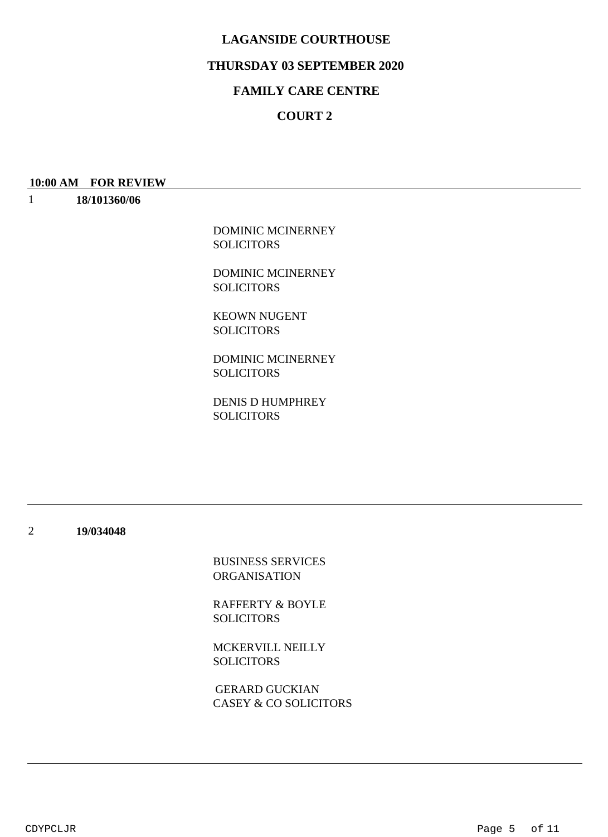### **THURSDAY 03 SEPTEMBER 2020**

## **FAMILY CARE CENTRE**

## **COURT 2**

## **10:00 AM FOR REVIEW**

1 **18/101360/06**

> DOMINIC MCINERNEY **SOLICITORS**

> DOMINIC MCINERNEY SOLICITORS

KEOWN NUGENT **SOLICITORS** 

DOMINIC MCINERNEY **SOLICITORS** 

DENIS D HUMPHREY SOLICITORS

2 **19/034048**

> BUSINESS SERVICES ORGANISATION

RAFFERTY & BOYLE SOLICITORS

MCKERVILL NEILLY SOLICITORS

CASEY & CO SOLICITORS GERARD GUCKIAN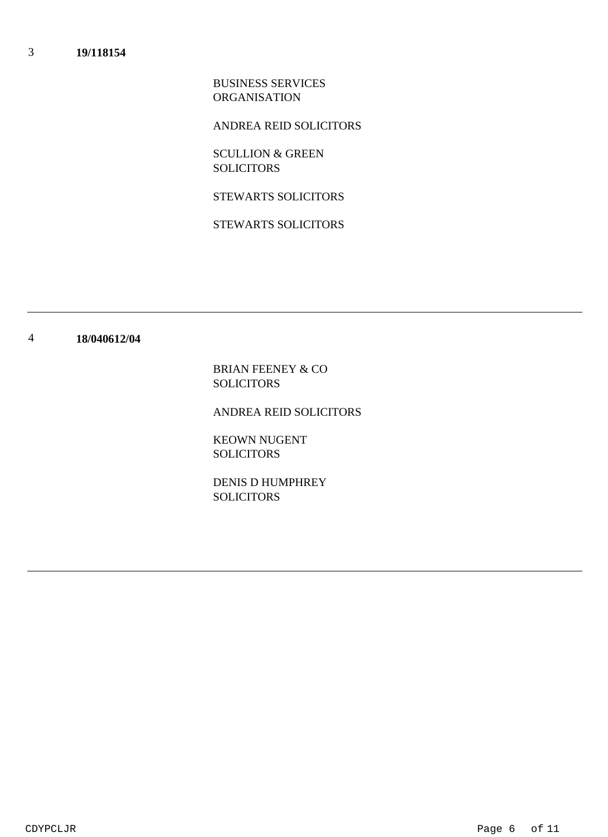BUSINESS SERVICES ORGANISATION

ANDREA REID SOLICITORS

SCULLION & GREEN SOLICITORS

STEWARTS SOLICITORS

STEWARTS SOLICITORS

#### 4 **18/040612/04**

BRIAN FEENEY & CO SOLICITORS

ANDREA REID SOLICITORS

KEOWN NUGENT **SOLICITORS** 

DENIS D HUMPHREY SOLICITORS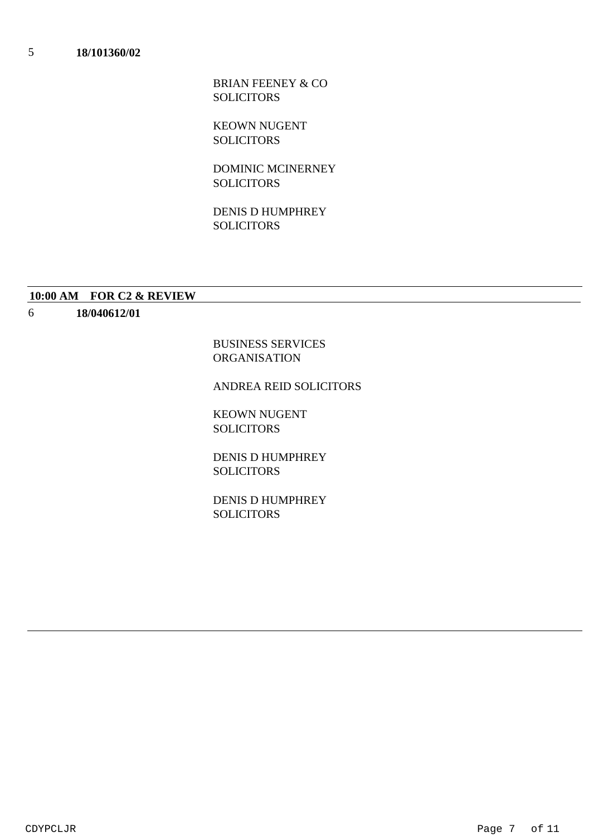BRIAN FEENEY & CO SOLICITORS

KEOWN NUGENT **SOLICITORS** 

DOMINIC MCINERNEY **SOLICITORS** 

DENIS D HUMPHREY **SOLICITORS** 

#### **10:00 AM FOR C2 & REVIEW**

6 **18/040612/01**

> BUSINESS SERVICES ORGANISATION

### ANDREA REID SOLICITORS

KEOWN NUGENT SOLICITORS

DENIS D HUMPHREY SOLICITORS

DENIS D HUMPHREY SOLICITORS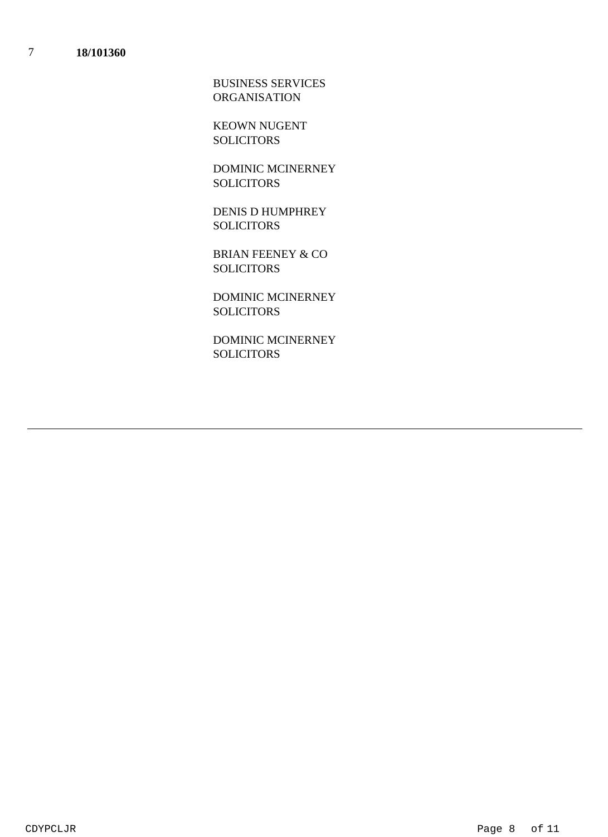BUSINESS SERVICES ORGANISATION

KEOWN NUGENT **SOLICITORS** 

DOMINIC MCINERNEY **SOLICITORS** 

DENIS D HUMPHREY **SOLICITORS** 

BRIAN FEENEY & CO SOLICITORS

DOMINIC MCINERNEY **SOLICITORS** 

DOMINIC MCINERNEY SOLICITORS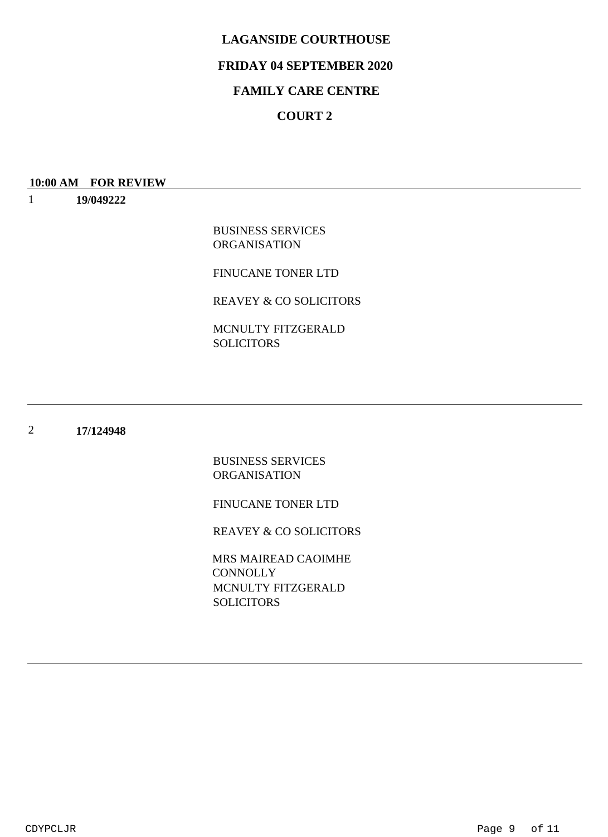## **FRIDAY 04 SEPTEMBER 2020**

## **FAMILY CARE CENTRE**

# **COURT 2**

#### **10:00 AM FOR REVIEW**

1 **19/049222**

> BUSINESS SERVICES ORGANISATION

FINUCANE TONER LTD

REAVEY & CO SOLICITORS

MCNULTY FITZGERALD **SOLICITORS** 

#### 2 **17/124948**

BUSINESS SERVICES ORGANISATION

FINUCANE TONER LTD

REAVEY & CO SOLICITORS

MCNULTY FITZGERALD SOLICITORS MRS MAIREAD CAOIMHE **CONNOLLY**